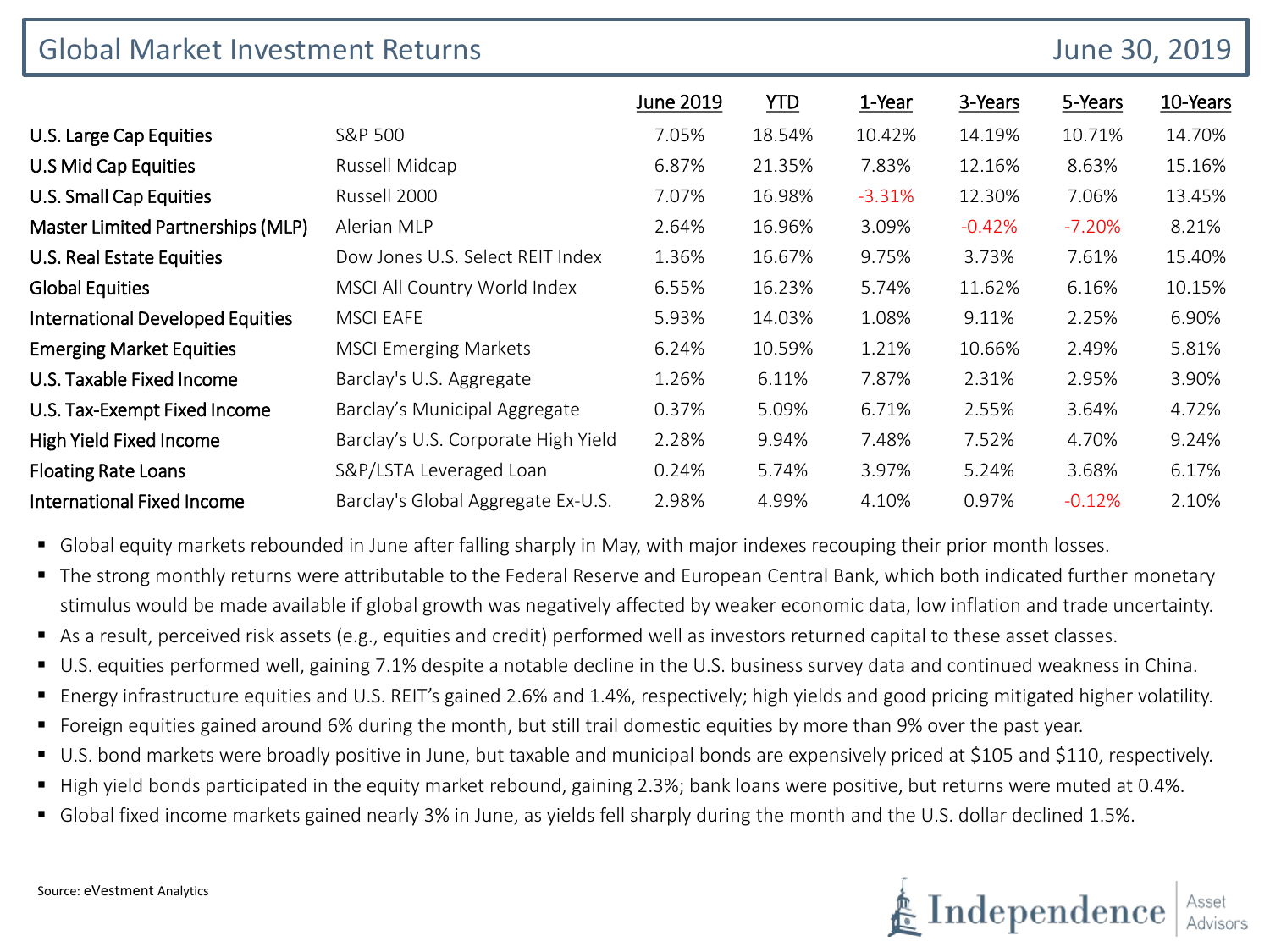| <b>Global Market Investment Returns</b> |                                     |           |        |          | June 30, 2019 |          |          |
|-----------------------------------------|-------------------------------------|-----------|--------|----------|---------------|----------|----------|
|                                         |                                     | June 2019 | YID    | 1-Year   | 3-Years       | 5-Years  | 10-Years |
| U.S. Large Cap Equities                 | S&P 500                             | 7.05%     | 18.54% | 10.42%   | 14.19%        | 10.71%   | 14.70%   |
| U.S Mid Cap Equities                    | Russell Midcap                      | 6.87%     | 21.35% | 7.83%    | 12.16%        | 8.63%    | 15.16%   |
| U.S. Small Cap Equities                 | Russell 2000                        | 7.07%     | 16.98% | $-3.31%$ | 12.30%        | 7.06%    | 13.45%   |
| Master Limited Partnerships (MLP)       | Alerian MLP                         | 2.64%     | 16.96% | 3.09%    | $-0.42%$      | $-7.20%$ | 8.21%    |
| U.S. Real Estate Equities               | Dow Jones U.S. Select REIT Index    | 1.36%     | 16.67% | 9.75%    | 3.73%         | 7.61%    | 15.40%   |
| <b>Global Equities</b>                  | MSCI All Country World Index        | 6.55%     | 16.23% | 5.74%    | 11.62%        | 6.16%    | 10.15%   |
| <b>International Developed Equities</b> | <b>MSCI EAFE</b>                    | 5.93%     | 14.03% | 1.08%    | 9.11%         | 2.25%    | 6.90%    |
| <b>Emerging Market Equities</b>         | <b>MSCI Emerging Markets</b>        | 6.24%     | 10.59% | 1.21%    | 10.66%        | 2.49%    | 5.81%    |
| U.S. Taxable Fixed Income               | Barclay's U.S. Aggregate            | 1.26%     | 6.11%  | 7.87%    | 2.31%         | 2.95%    | 3.90%    |
| U.S. Tax-Exempt Fixed Income            | Barclay's Municipal Aggregate       | 0.37%     | 5.09%  | 6.71%    | 2.55%         | 3.64%    | 4.72%    |
| High Yield Fixed Income                 | Barclay's U.S. Corporate High Yield | 2.28%     | 9.94%  | 7.48%    | 7.52%         | 4.70%    | 9.24%    |
| <b>Floating Rate Loans</b>              | S&P/LSTA Leveraged Loan             | 0.24%     | 5.74%  | 3.97%    | 5.24%         | 3.68%    | 6.17%    |
| <b>International Fixed Income</b>       | Barclay's Global Aggregate Ex-U.S.  | 2.98%     | 4.99%  | 4.10%    | 0.97%         | $-0.12%$ | 2.10%    |

- Global equity markets rebounded in June after falling sharply in May, with major indexes recouping their prior month losses.
- The strong monthly returns were attributable to the Federal Reserve and European Central Bank, which both indicated further monetary stimulus would be made available if global growth was negatively affected by weaker economic data, low inflation and trade uncertainty.
- As a result, perceived risk assets (e.g., equities and credit) performed well as investors returned capital to these asset classes.
- U.S. equities performed well, gaining 7.1% despite a notable decline in the U.S. business survey data and continued weakness in China.
- Energy infrastructure equities and U.S. REIT's gained 2.6% and 1.4%, respectively; high yields and good pricing mitigated higher volatility.
- Foreign equities gained around 6% during the month, but still trail domestic equities by more than 9% over the past year.
- U.S. bond markets were broadly positive in June, but taxable and municipal bonds are expensively priced at \$105 and \$110, respectively.
- High yield bonds participated in the equity market rebound, gaining 2.3%; bank loans were positive, but returns were muted at 0.4%.
- Global fixed income markets gained nearly 3% in June, as yields fell sharply during the month and the U.S. dollar declined 1.5%.

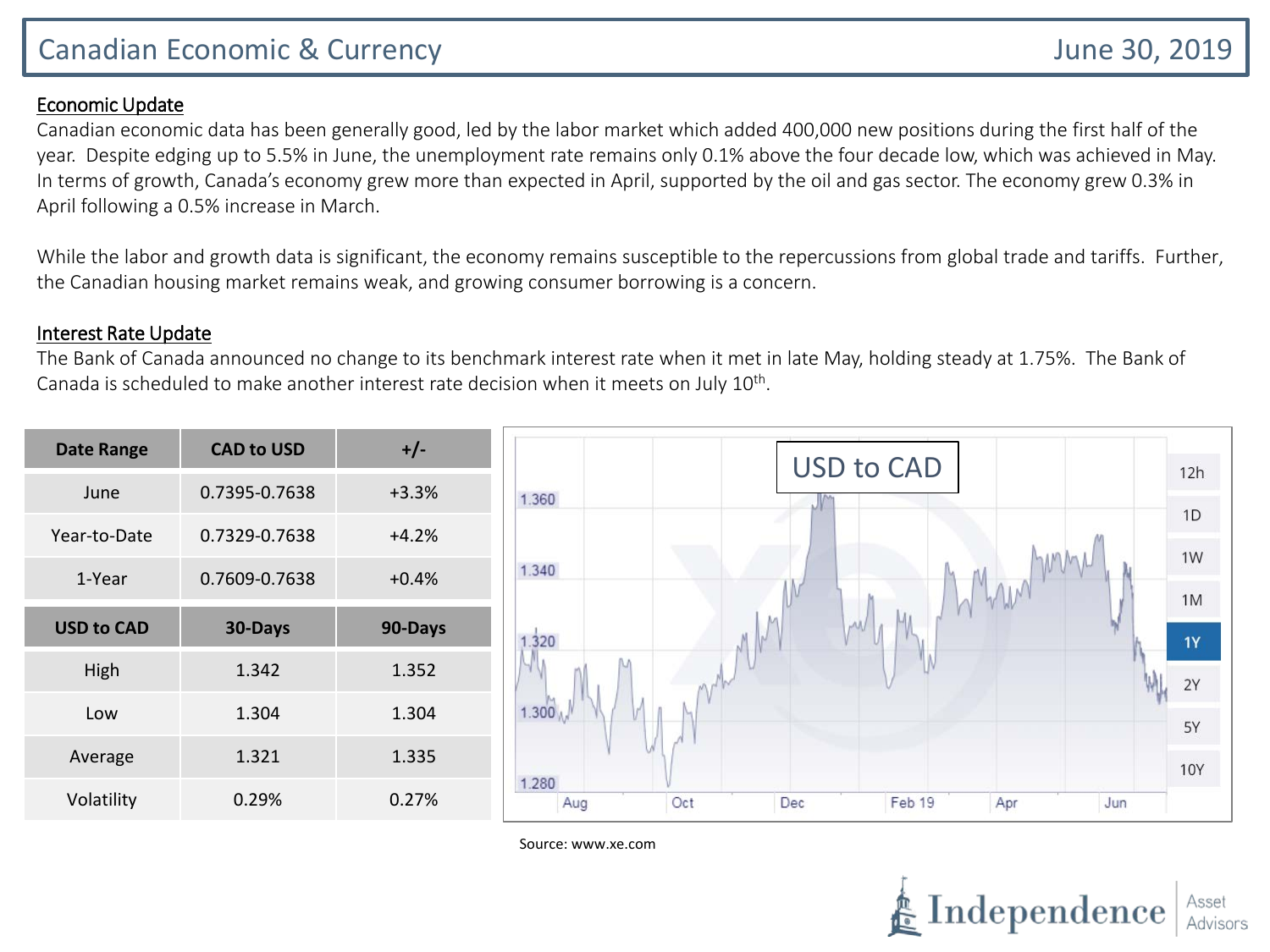# Canadian Economic & Currency June 30, 2019

#### Economic Update

Canadian economic data has been generally good, led by the labor market which added 400,000 new positions during the first half of the year. Despite edging up to 5.5% in June, the unemployment rate remains only 0.1% above the four decade low, which was achieved in May. In terms of growth, Canada's economy grew more than expected in April, supported by the oil and gas sector. The economy grew 0.3% in April following a 0.5% increase in March.

While the labor and growth data is significant, the economy remains susceptible to the repercussions from global trade and tariffs. Further, the Canadian housing market remains weak, and growing consumer borrowing is a concern.

#### Interest Rate Update

The Bank of Canada announced no change to its benchmark interest rate when it met in late May, holding steady at 1.75%. The Bank of Canada is scheduled to make another interest rate decision when it meets on July  $10^{th}$ .

| <b>Date Range</b> | <b>CAD to USD</b> | $+/-$   | <b>USD to CAD</b>                                  |                 |
|-------------------|-------------------|---------|----------------------------------------------------|-----------------|
| June              | 0.7395-0.7638     | $+3.3%$ | 1.360                                              | 12h             |
| Year-to-Date      | 0.7329-0.7638     | $+4.2%$ |                                                    | 1D              |
| 1-Year            | 0.7609-0.7638     | $+0.4%$ | mmy<br>1.340<br>Whan                               | 1W              |
| <b>USD to CAD</b> | 30-Days           | 90-Days | M<br>1.320                                         | 1M              |
| High              | 1.342             | 1.352   |                                                    | <b>1Y</b><br>2Y |
| Low               | 1.304             | 1.304   | 1.300 <sub>A</sub>                                 | 5Y              |
| Average           | 1.321             | 1.335   |                                                    | <b>10Y</b>      |
| Volatility        | 0.29%             | 0.27%   | 1.280<br>Oct<br>Dec<br>Feb 19<br>Apr<br>Jun<br>Aug |                 |

Source: www.xe.com